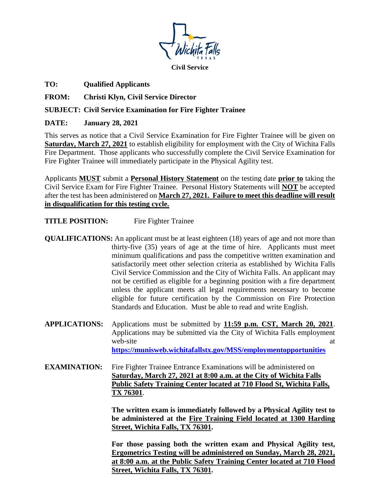

**Civil Service**

**TO: Qualified Applicants** 

**FROM: Christi Klyn, Civil Service Director**

## **SUBJECT: Civil Service Examination for Fire Fighter Trainee**

## **DATE: January 28, 2021**

This serves as notice that a Civil Service Examination for Fire Fighter Trainee will be given on **Saturday, March 27, 2021** to establish eligibility for employment with the City of Wichita Falls Fire Department. Those applicants who successfully complete the Civil Service Examination for Fire Fighter Trainee will immediately participate in the Physical Agility test.

Applicants **MUST** submit a **Personal History Statement** on the testing date **prior to** taking the Civil Service Exam for Fire Fighter Trainee. Personal History Statements will **NOT** be accepted after the test has been administered on **March 27, 2021. Failure to meet this deadline will result in disqualification for this testing cycle.**

**TITLE POSITION:** Fire Fighter Trainee

- **QUALIFICATIONS:** An applicant must be at least eighteen (18) years of age and not more than thirty-five (35) years of age at the time of hire. Applicants must meet minimum qualifications and pass the competitive written examination and satisfactorily meet other selection criteria as established by Wichita Falls Civil Service Commission and the City of Wichita Falls. An applicant may not be certified as eligible for a beginning position with a fire department unless the applicant meets all legal requirements necessary to become eligible for future certification by the Commission on Fire Protection Standards and Education. Must be able to read and write English.
- **APPLICATIONS:** Applications must be submitted by **11:59 p.m. CST, March 20, 2021**. Applications may be submitted via the City of Wichita Falls employment web-site at a state of  $\alpha$  at a state at a state at a state of  $\alpha$  at a state at a state at a state at a state at a state at a state at a state at a state at a state at a state at a state at a state at a state at a state **https://munisweb.wichitafallstx.gov/MSS/employmentopportunities**
- **EXAMINATION:** Fire Fighter Trainee Entrance Examinations will be administered on **Saturday, March 27, 2021 at 8:00 a.m. at the City of Wichita Falls Public Safety Training Center located at 710 Flood St, Wichita Falls, TX 76301**.

**The written exam is immediately followed by a Physical Agility test to be administered at the Fire Training Field located at 1300 Harding Street, Wichita Falls, TX 76301.** 

**For those passing both the written exam and Physical Agility test, Ergometrics Testing will be administered on Sunday, March 28, 2021, at 8:00 a.m. at the Public Safety Training Center located at 710 Flood Street, Wichita Falls, TX 76301.**